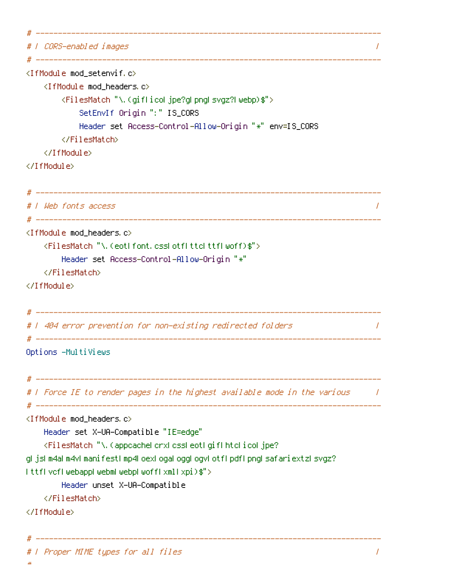```
# ------------------------------------------------------------------------------
# | CORS-enabled images |
# ------------------------------------------------------------------------------
<IfModule mod_setenvif.c>
   <IfModule mod_headers.c>
       <FilesMatch "\.(gif|ico|jpe?g|png|svgz?|webp)$">
           SetEnvIf Origin ":" IS_CORS
           Header set Access-Control-Allow-Origin "*" env=IS_CORS
       </FilesMatch>
   </IfModule>
</IfModule>
# ------------------------------------------------------------------------------
# | Web fonts access |
# ------------------------------------------------------------------------------
<IfModule mod_headers.c>
   <FilesMatch "\.(eot|font.css|otf|ttc|ttf|woff)$">
       Header set Access-Control-Allow-Origin "*"
   </FilesMatch>
</IfModule>
# ------------------------------------------------------------------------------
# | 404 error prevention for non-existing redirected folders |
# ------------------------------------------------------------------------------
Options -MultiViews
# ------------------------------------------------------------------------------
# | Force IE to render pages in the highest available mode in the various |
# ------------------------------------------------------------------------------
<IfModule mod_headers.c>
   Header set X-UA-Compatible "IE=edge"
   <FilesMatch "\.(appcache|crx|css|eot|gif|htc|ico|jpe?
g| js| m4a| m4v| manifest| mp4| oex| oga| ogg| ogv| otf| pdf| png| safariextz| svgz?
|ttf|vcf|webapp|webm|webp|woff|xml|xpi)$">
       Header unset X-UA-Compatible
   </FilesMatch>
</IfModule>
```

```
# | Proper MIME types for all files |
```
# ------------------------------------------------------------------------------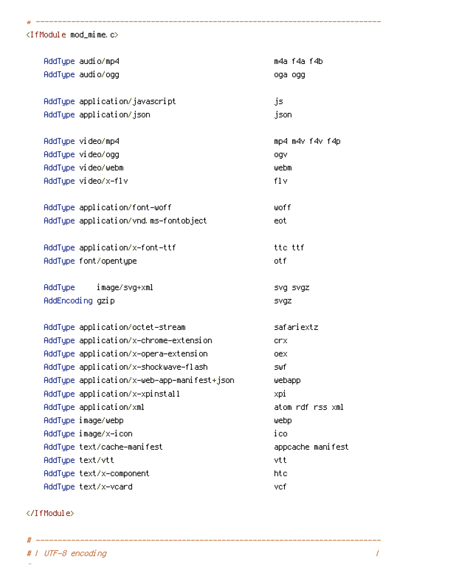<IfModule mod\_mime.c>

| AddType audio/mp4                           | m4a f4a f4b       |  |
|---------------------------------------------|-------------------|--|
| AddType audio/ogg                           | oga ogg           |  |
|                                             |                   |  |
| AddType application/javascript              | js                |  |
| AddType application/json                    | json              |  |
|                                             |                   |  |
| AddTupe video/mp4                           | mp4 m4v f4v f4p   |  |
| AddType video/ogg                           | vpo               |  |
| AddType video/webm                          | webm.             |  |
| AddType video/x-flv                         | 11v               |  |
|                                             |                   |  |
| AddType application/font-woff               | woff.             |  |
| AddType application/vnd.ms-fontobject       | eot               |  |
|                                             |                   |  |
| AddTupe application/x-font-ttf              | tte ttf           |  |
| AddType font/opentype                       | otf               |  |
|                                             |                   |  |
| image/svg+xml<br>AddType                    | svg svgz          |  |
| AddEncoding gzip                            | <b>SVGZ</b>       |  |
|                                             |                   |  |
| AddType application/octet-stream            | safariextz        |  |
| AddType application/x-chrome-extension      | crx.              |  |
| AddType application/x-opera-extension       | oex.              |  |
| AddType application/x-shockwave-flash       | swf.              |  |
| AddTupe application/x-web-app-manifest+json | webapp            |  |
| AddType application/x-xpinstall             | xpil              |  |
| AddType application/xml                     | atom rdf rss xml  |  |
| AddType image/webp                          | webp.             |  |
| AddType image/x-icon                        | ico               |  |
| AddType text/cache-manifest                 | appcache manifest |  |
| AddType text/vtt                            | vtt               |  |
| AddType text/x-component                    | htc               |  |
| AddType text/x-vcard                        | vcf.              |  |

# ------------------------------------------------------------------------------

# ------------------------------------------------------------------------------

# ------------------------------------------------------------------------------

</IfModule>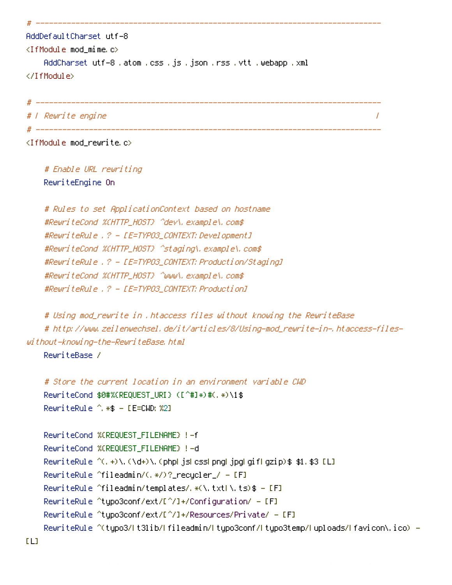```
AddDefaultCharset utf-8
<IfModule mod_mime.c>
    AddCharset utf-8 .atom .css .js .json .rss .vtt .webapp .xml
</IfModule>
```
# ------------------------------------------------------------------------------

# ------------------------------------------------------------------------------

# ------------------------------------------------------------------------------

```
# | Rewrite engine |
```
<IfModule mod\_rewrite.c>

# Enable URL rewriting RewriteEngine On

# Rules to set ApplicationContext based on hostname #RewriteCond %CHTTP\_HOST} ^dev\.example\.com\$ #RewriteRule .? - [E=TYPO3\_CONTEXT:Development] #RewriteCond %(HTTP\_HOST) ^staging\.example\.com\$ #RewriteRule .? - [E=TYPO3\_CONTEXT:Production/Staging] #RewriteCond %{HTTP\_HOST} ^www\.example\.com\$ #RewriteRule .? - [E=TYPO3\_CONTEXT: Production]

```
# Using mod_rewrite in .htaccess files without knowing the RewriteBase
    # http://www.zeilenwechsel.de/it/articles/8/Using-mod_rewrite-in-.htaccess-files-
without-knowing-the-RewriteBase.html
```
RewriteBase /

```
# Store the current location in an environment variable CWD
RewriteCond $0#%{REQUEST_URI} ([^#]*)#(.*)\1$
RewriteRule ^.*$ - [E=CWD:%2]
```

```
RewriteCond %{REQUEST_FILENAME} !-f
RewriteCond %{REQUEST_FILENAME} !-d
RewriteRule ^(.+)\.(\d+)\.(php|js|css|png|jpg|gif|gzip)$ $1.$3 [L]
RewriteRule ^fileadmin/(.*/)?_recycler_/ - [F]
RewriteRule ^fileadmin/templates/.*(\.txt|\.ts)$ - [F]
RewriteRule ^typo3conf/ext/[^/]+/Configuration/ - [F]
RewriteRule ^typo3conf/ext/[^/]+/Resources/Private/ - [F]
RewriteRule ^(typo3/|t3lib/|fileadmin/|typo3conf/|typo3temp/|uploads/|favicon\.ico) -
```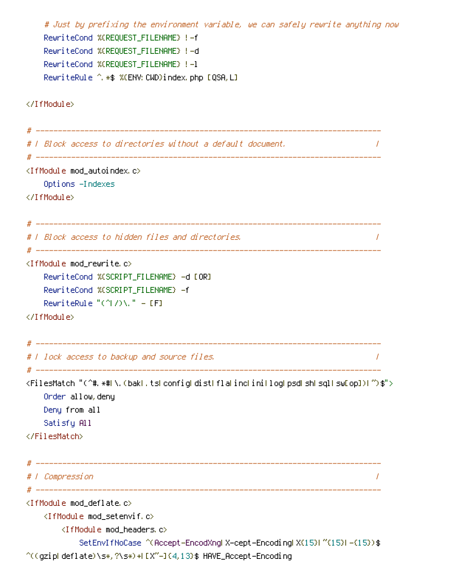```
# Just by prefixing the environment variable, we can safely rewrite anything now
RewriteCond %{REQUEST_FILENAME} !-f
RewriteCond %{REQUEST_FILENAME} !-d
RewriteCond %{REQUEST_FILENAME} !-l
RewriteRule ^.*$ %{ENV:CWD}index.php [QSA,L]
```
</IfModule>

```
# ------------------------------------------------------------------------------
# | Block access to directories without a default document. |
# ------------------------------------------------------------------------------
<IfModule mod_autoindex.c>
   Options -Indexes
</IfModule>
# ------------------------------------------------------------------------------
# | Block access to hidden files and directories. |
# ------------------------------------------------------------------------------
<IfModule mod_rewrite.c>
   RewriteCond %{SCRIPT_FILENAME} -d [OR]
   RewriteCond %{SCRIPT_FILENAME} -f
   RewriteRule "(^{\circ}|/)\." - [F]
</IfModule>
# ------------------------------------------------------------------------------
# | lock access to backup and source files. |
# ------------------------------------------------------------------------------
<FilesMatch "(^#.*#|\.(bak|.ts|config|dist|fla|inc|ini|log|psd|sh|sql|sw[op])|~)$">
   Order allow,deny
   Deny from all
   Satisfy All
</FilesMatch>
# ------------------------------------------------------------------------------
# | Compression |
# ------------------------------------------------------------------------------
\triangleleftIfModule mod deflate.c><IfModule mod_setenvif.c>
       <IfModule mod_headers.c>
           SetEnvIfNoCase ^(Accept-EncodXng|X-cept-Encoding|X{15}|~{15}|-{15})$
\hat{C}((gzip)deflate)\s*,?\s*)+)[X~-]{4,13}$ HAVE_Accept-Encoding
```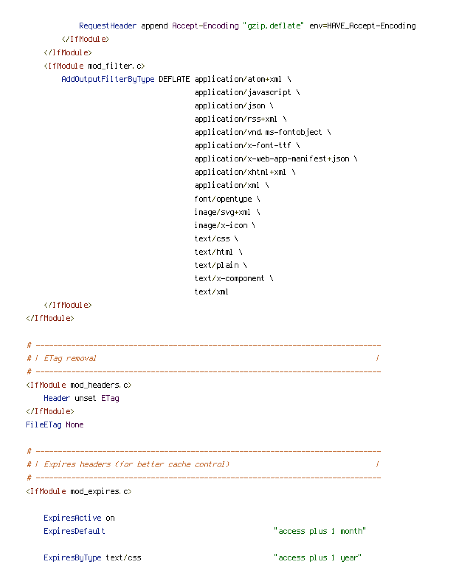```
RequestHeader append Accept-Encoding "gzip,deflate" env=HAVE_Accept-Encoding
       </IfModule>
   </IfModule>
   <IfModule mod_filter.c>
       AddOutputFilterByType DEFLATE application/atom+xml \
                                   application/javascript \
                                    application/json \
                                    application/rss+xml \
                                    application/vnd.ms-fontobject \
                                    application/x-font-ttf \
                                    application/x-web-app-manifest+json \
                                    application/xhtml+xml \
                                    application/xml \
                                    font/opentype \
                                   image/svg+xml \
                                   image/x-icon \
                                   text/css \
                                   text/html \
                                   text/plain \
                                   text/x-component \
                                   text/xml
   </IfModule>
</IfModule>
# ------------------------------------------------------------------------------
# | ETag removal |
# ------------------------------------------------------------------------------
<IfModule mod_headers.c>
   Header unset ETag
</IfModule>
FileETag None
# ------------------------------------------------------------------------------
# | Expires headers (for better cache control) |
# ------------------------------------------------------------------------------
<IfModule mod_expires.c>
```
ExpiresActive on ExpiresDefault "access plus 1 month"

ExpiresByType text/css "access plus 1 year"